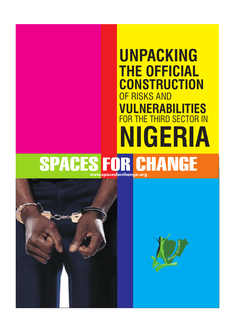# **UNPACKING THE OFFICIAL CONSTRUCTION NIGERIA** OF RISKS AND **VULNERABILITIES** FOR THE THIRD SECTOR IN

## **SPACES FOR CHANGE www.spacesforchange.org**



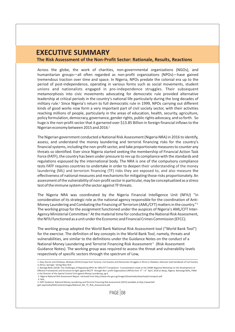### **EXECUTIVE SUMMARY The Risk Assessment of the Non-Profit Sector: Rationale, Results, Reactions**

Across the globe, the work of charities, non-governmental organizations (NGOs), and humanitarian groups—all often regarded as non-profit organizations (NPOs)—have gained tremendous traction over time and space. In Nigeria, NPOs predate the colonial era up to the period of post-independence, operating in various forms such as social movements, student unions and nationalists engaged in pro-independence struggles. Their subsequent metamorphosis into civic movements advocating for democratic rule provided alternative leadership at critical periods in the country's national life particularly during the long decades of military rule.<sup>1</sup> Since Nigeria's return to full democratic rule in 1999, NPOs carrying out different kinds of good works now form a very important part of civil society sector, with their activities reaching millions of people, particularly in the areas of education, health, security, agriculture, policy formulation, democracy, governance, gender rights, public rights advocacy, and so forth. So huge is the non-profit sector that it garnered over \$13.85 Billion in foreign financial inflows to the Nigerian economy between 2015 and 2016.<sup>2</sup>

The Nigerian government conducted a National Risk Assessment (Nigeria NRA) in 2016 to identify, assess, and understand the money laundering and terrorist financing risks for the country's financial systems, including the non-profit sector, and take proportionate measures to counter any threats so identified. Ever since Nigeria started seeking the membership of Financial Action Task Force (FATF), the country has been under pressure to rev up its compliance with the standards and regulations espoused by the international body. The NRA is one of the compulsory compliance tests FATF requires countries to undertake in order to deepen their understanding of the money laundering (ML) and terrorism financing (TF) risks they are exposed to, and also measure the effectiveness of national measures and mechanisms for mitigating those risks proportionately. An assessment of the vulnerability of non-profit sector in particular, may be conceptualized as a stress test of the immune system of the sector against TF threats.

The Nigeria NRA was coordinated by the Nigeria Financial Intelligence Unit (NFIU) "in consideration of its strategic role as the national agency responsible for the coordination of Anti-Money Laundering and Combating the Financing of Terrorism (AML/CFT) matters in the country."<sup>3</sup> The working group for the assignment functioned under the auspices of Nigeria's AML/CFT Inter-Agency Ministerial Committee.<sup>4</sup> At the material time for conducting the National Risk Assessment, the NFIU functioned as a unit under the Economic and Financial Crimes Commission (EFCC).

The working group adopted the World Bank National Risk Assessment tool ("World Bank Tool") for the exercise. The definition of key concepts in the World Bank Tool, namely, threats and vulnerabilities, are similar to the definitions under the Guidance Notes on the conduct of a National Money Laundering and Terrorist Financing Risk Assessment<sup>5</sup> (Risk Assessment Guidance Notes). The working group was required to assess the threat and vulnerability levels respectively of specific sectors through the spectrum of Low,

 $PAGE$  08

<sup>1.</sup> Kew, Darren and Oshikoya, Modupe (2014) Escape from Tyranny: Civil Society and Democratic Struggles in Africa in Obadare, Ebenezer (ed) Handbook of Civil Society in Africa. Springer - Verlag New York

<sup>2.</sup> Bamaga Bello (2018): The Challenges of Regulating NPOs for AML/CFT Compliance: A presentation made at the GIABA Regional Workshop on the Development of Effective Frameworks and Structure to fight against ML/TF through Non- profit Organizations (NPOs) from  $4<sup>th</sup> - 6<sup>th</sup>$  April, 2018 at Abuja, Nigeria. Bamanga Bello, FNIM is the Director of the Special Control Unit against Money Laundering, pg 4.

 <sup>3.</sup> Nigeria National Risk Assessment Report. retrieved from http://www.nfiu.gov.ng/images/Downloads/downloads/nrareport.pdf 4. Ibid.

<sup>5.</sup> FATF Guidance: National Money Laundering and Terrorist Financing Risk Assessment (2013) available at http://www.fatfgafi.org/media/fatf/content/images/National\_ML\_TF\_Risk\_Assessment.pdf.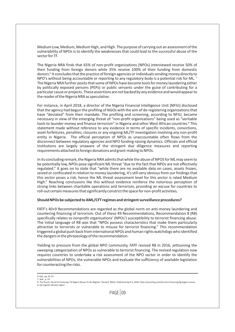Medium Low, Medium, Medium High, and High. The purpose of carrying out an assessment of the vulnerability of NPOs is to identify the weaknesses that could lead to the successful abuse of the sector for TF.

The Nigeria NRA finds that 65% of non-profit organizations (NPOs) interviewed receive 50% of their funding from foreign donors while 35% receive 100% of their funding from domestic donors.<sup>6</sup> It concludes that the practice of foreign agencies or individuals sending money directly to NPO's without being accountable or reporting to any regulatory body is a potential risk for ML.<sup>7</sup> The Nigeria NRA further posits that some of NPOs have become tools for money laundering either by politically exposed persons (PEPs) or public servants under the guise of contributing for a particular cause or projects. These assertions are not backed by any evidence and would appear to the reader of the Nigeria NRA as speculative.

For instance, in April 2018, a director of the Nigeria Financial Intelligence Unit (NFIU) disclosed that the agency had begun the profiling of NGOs with the aim of de-registering organizations that have "deviated" from their mandate. The profiling and screening, according to NFIU, became necessary in view of the emerging threat of "non-profit organizations" being used as "veritable tools to launder money and finance terrorism" in Nigeria and other West African countries.<sup>8</sup> This statement made without reference to any evidence in terms of specific incidents, convictions, asset forfeitures, penalties, closures or any ongoing ML/TF investigation involving any non-profit entity in Nigeria. The official perception of NPOs as unaccountable often flows from the disconnect between regulatory agencies and NPO funding-raising dynamics. Officials and official institutions are largely unaware of the stringent due diligence measures and reporting requirements attached to foreign donations and grant-making to NPOs.

In its concluding remark, the Nigeria NRA admits that while the abuse of NPOS for ML may seem to be potentially low, NPOs pose significant ML threat "due to the fact that NPOs are not effectively regulated." It goes on to state that "while there are no available data on cases, assets frozen, seized or confiscated in relation to money laundering, it's still very obvious from our findings that this sector poses a risk, hence the ML threat assessment level for this sector is rated Medium High." Reaching conclusions like this without evidence reinforce the notorious perception of strong links between charitable operations and terrorism, providing an excuse for countries to roll-out certain measures that significantly constrict the space for non-profit activities.

#### **Should NPOs be subjected to AML/CFT regimes and stringent surveillance procedures?**

FATF's 40+9 Recommendations are regarded as the global norm on anti-money laundering and countering financing of terrorism. Out of these 49 Recommendations, Recommendation 8 (R8) specifically relates to nonprofit organisations' (NPOs') susceptibility to terrorist financing abuse. The initial language of R8 was that "NPOs possess characteristics that make them particularly attractive to terrorists or vulnerable to misuse for terrorist financing." This recommendation triggered a global push back from international NPOs and human rights watchdogs who identified the dangers in the phraseology of the recommendation.

Yielding to pressure from the global NPO community, FATF revised R8 in 2016, jettisoning the sweeping categorization of NPOs as vulnerable to terrorist financing. The revised regulation now requires countries to undertake a risk assessment of the NPO sector in order to identify the vulnerabilities of NPOs, the vulnerable NPOs and evaluate the sufficiency of available legislation for counteracting the risks.

6. Ibid., pp. 32-33.

<sup>7.</sup> Ibid., p. 33.<br>8. The Punch, Terrorist Financing: FG Begins Moves To De-Register 'Deviant' NGOs, Published April 4, 2018: https://punchng.com/terrorist-financing-fg-begins-movesto-de-register-deviant-ngos/

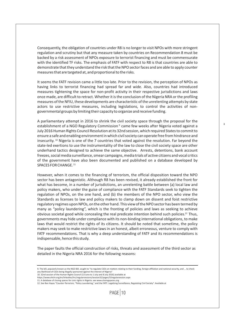Consequently, the obligation of countries under R8 is no longer to visit NPOs with more stringent regulation and scrutiny but that any measure taken by countries on Recommendation 8 must be backed by a risk assessment of NPOs exposure to terrorist financing and must be commensurate with the identified TF risks. The emphasis of FATF with respect to R8 is that countries are able to demonstrate that they understand the risk that the NPO sector faces and are able to apply counter measures that are targeted at, and proportional to the risks.

It seems the FATF revision came a little too late. Prior to the revision, the perception of NPOs as having links to terrorist financing had spread far and wide. Also, countries had introduced measures tightening the space for non-profit activity in their respective jurisdictions and laws once made, are difficult to retract. Whether it is the conclusion of the Nigeria NRA or the profiling measures of the NFIU, these developments are characteristic of the unrelenting attempts by state actors to use restrictive measures, including legislations, to control the activities of nongovernmental groups by limiting their capacity to organize and receive funding.

A parliamentary attempt in 2016 to shrink the civil society space through the proposal for the establishment of a NGO Regulatory Commission<sup>9</sup> came few weeks after Nigeria voted against a July 2016 Human Rights Council Resolution at its 32nd session, which required States to commit to ensure a safe and enabling environment in which civil society can operate free from hindrance and insecurity. <sup>10</sup> Nigeria is one of the 7 countries that voted against the resolution. Far beyond the state-led exertions to use the instrumentality of the law to close the civil society space are other underhand tactics designed to achieve the same objective. Arrests, detentions, bank account freezes, social media surveillance, smear campaigns, media trials of active citizens and vocal critics of the government have also been documented and published on a database developed by SPACES FOR CHANGE.<sup>11</sup>

However, when it comes to the financing of terrorism, the official disposition toward the NPO sector has been antagonistic. Although R8 has been revised, it already established the front for what has become, in a number of jurisdictions, an unrelenting battle between (a) local law and policy makers, who under the guise of compliance with the FATF Standards seek to tighten the regulation of NPOs, on the one hand, and (b) the members of the NPO sector, who view the Standards as licenses to law and policy makers to clamp down on dissent and foist restrictive regulatory regimes upon NPOs, on the other hand. This view of the NPO sector has been termed by many as "policy laundering", which is the fronting of policies and laws as seeking to achieve obvious societal good while concealing the real predicate intention behind such policies.<sup>12</sup> Thus, governments may hide under compliance with its non-binding international obligations, to make laws that would restrict the rights of its citizens. It should be noted that sometime, the policy makers may seek to make restrictive laws in an honest, albeit erroneous, venture to comply with FATF recommendations. That is why a deep understanding of FATF and its recommendations is indispensable, hence this study.

The paper faults the official construction of risks, threats and assessment of the third sector as detailed in the Nigeria NRA 2016 for the following reasons:

 $PAGF$  10

<sup>9.</sup> The bill, popularly known as the NGO Bill, sought to "to regulate CSOs on matters relating to their funding, foreign affiliation and national security, and ... to check any likelihood of CSOs being illegally sponsored against the interest of Nigeria'

<sup>10. 32</sup>nd session of the Human Rights Council (13 June to 1 July and 8 July 2016) available at

https://www.ohchr.org/en/hrbodies/hrc/regularsessions/session32/pages/32regularsession.aspx

<sup>11.</sup> A database of clsoing spaces for civic rights in Nigeria. see www.closingspaces.org

<sup>12.</sup> See Ben Hayes "Counter-Terrorism, "Policy Laundering," and the FATF: Legalizing Surveillance, Regulating Civil Society". Available at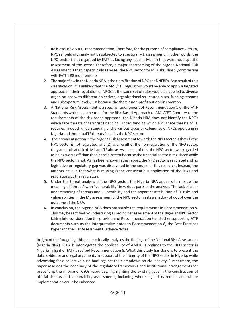- 1. R8 is exclusively a TF recommendation. Therefore, for the purpose of compliance with R8, NPOs should ordinarily not be subjected to a sectoral ML assessment. In other words, the NPO sector is not regarded by FATF as facing any specific ML risk that warrants a specific assessment of the sector. Therefore, a major shortcoming of the Nigeria National Risk Assessment is that it specifically assesses the NPO sector for ML risks, sharply contrasting with FATF's R8 requirements.
- 2. The major flaw in the Nigeria NRA is the classification of NPOs as DNFBPs. As a result of this classification, it is unlikely that the AML/CFT regulators would be able to apply a targeted approach in their regulation of NPOs as the same set of rules would be applied to diverse organizations with different objectives, organizational structures, sizes, funding streams and risk exposure levels, just because the share a non-profit outlook in common.
- 3. A National Risk Assessment is a specific requirement of Recommendation 1 of the FATF Standards which sets the tone for the Risk-Based Approach to AML/CFT. Contrary to the requirements of the risk-based approach, the Nigeria NRA does not identify the NPOs which face threats of terrorist financing. Understanding which NPOs face threats of TF requires in-depth understanding of the various types or categories of NPOs operating in Nigeria and the actual TF threats faced by the NPO sector.
- 4. The prevalent notion in the Nigeria Risk Assessment towards the NPO sector is that (1) the NPO sector is not regulated, and (2) as a result of the non-regulation of the NPO sector, they are both at risk of ML and TF abuse. As a result of this, the NPO sector was regarded as being worse off than the financial sector because the financial sector is regulated while the NPO sector is not. As has been shown in this report, the NPO sector is regulated and no legislative or regulatory gap was discovered in the course of this research. Instead, the authors believe that what is missing is the conscientious application of the laws and regulations by the regulators.
- 5. Under the threat analysis of the NPO sector, the Nigeria NRA appears to mix up the meaning of "threat" with "vulnerability" in various parts of the analysis. The lack of clear understanding of threats and vulnerability and the apparent attribution of TF risks and vulnerabilities in the ML assessment of the NPO sector casts a shadow of doubt over the outcome of the NRA.
- 6. In conclusion, the Nigeria NRA does not satisfy the requirements in Recommendation 8. This may be rectified by undertaking a specific risk assessment of the Nigerian NPO Sector taking into consideration the provisions of Recommendation 8 and other supporting FATF documents such as the Interpretative Notes to Recommendation 8, the Best Practices Paper and the Risk Assessment Guidance Notes.

In light of the foregoing, this paper critically analyses the findings of the National Risk Assessment (Nigeria NRA) 2016. It interrogates the applicability of AML/CFT regimes to the NPO sector in Nigeria in light of FATF's revised Recommendation 8. What this study has done is to present the data, evidence and legal arguments in support of the integrity of the NPO sector in Nigeria, while advocating for a collective push back against the clampdown on civil society. Furthermore, the paper assesses the adequacy of the regulatory frameworks and institutional arrangements for preventing the misuse of CSOs resources, highlighting the existing gaps in the construction of official threats and vulnerability assessments, including where high risks remain and where implementation could be enhanced.